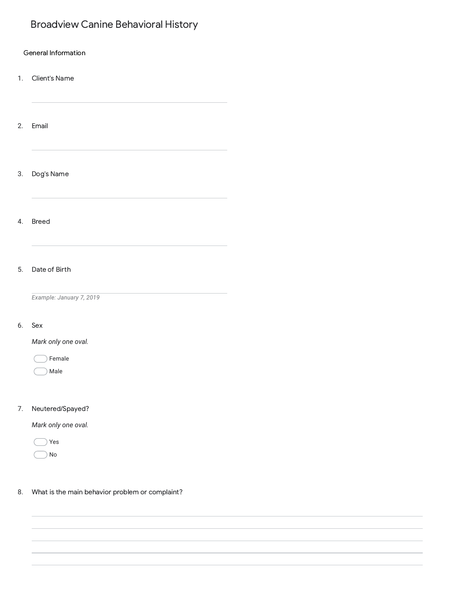# Broadview Canine Behavioral History

1. Client's Name

- 2. Email
- 3. Dog's Name

4. Breed

# 5. Date of Birth

*Example: January 7, 2019*

## 6. Sex

*Mark only one oval.*

| emale |  |
|-------|--|
|       |  |

Male

# 7. Neutered/Spayed?

*Mark only one oval.*

Yes No

8. What is the main behavior problem or complaint?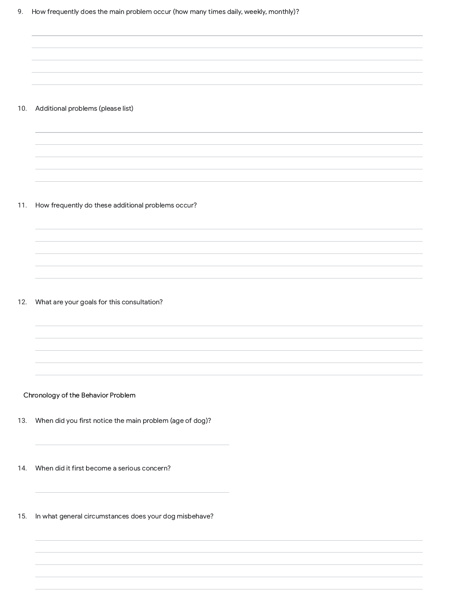# 9. How frequently does the main problem occur (how many times daily, weekly, monthly)?

### 10. Additional problems (please list)

### 11. How frequently do these additional problems occur?

### 12. What are your goals for this consultation?

# Chronology of the Behavior Problem

13. When did you first notice the main problem (age of dog)?

14. When did it first become a serious concern?

15. In what general circumstances does your dog misbehave?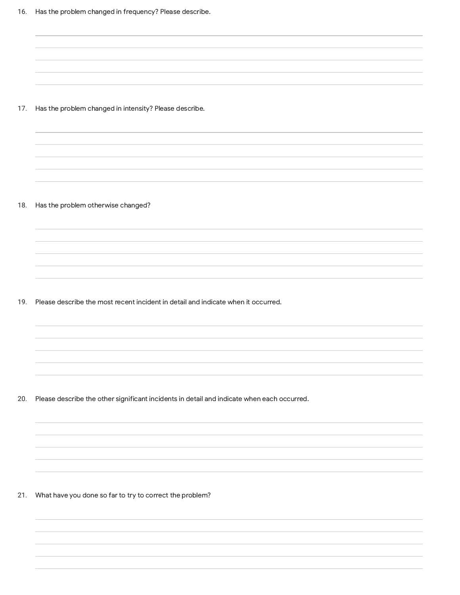17. Has the problem changed in intensity? Please describe.

### 18. Has the problem otherwise changed?

19. Please describe the most recent incident in detail and indicate when it occurred.

20. Please describe the other significant incidents in detail and indicate when each occurred.

21. What have you done so far to try to correct the problem?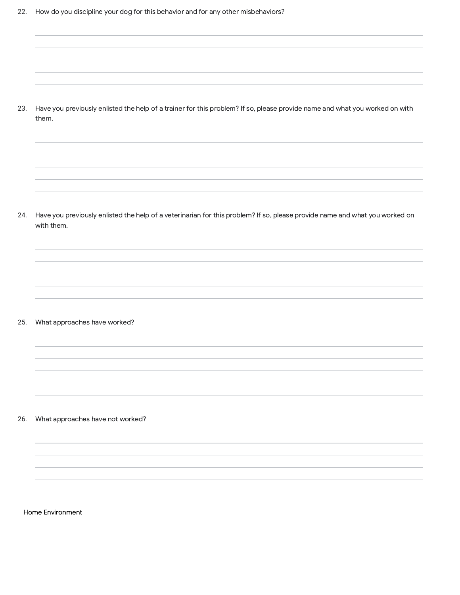23. Have you previously enlisted the help of a trainer for this problem? If so, please provide name and what you worked on with them.

24. Have you previously enlisted the help of a veterinarian for this problem? If so, please provide name and what you worked on with them.

# 25. What approaches have worked?

### 26. What approaches have not worked?

Home Environment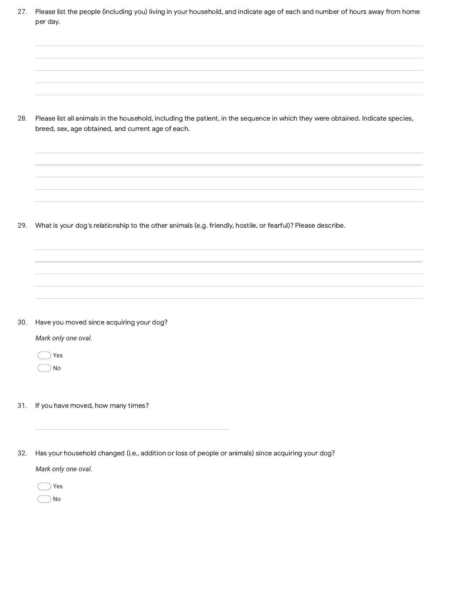27. Please list the people (including you) living in your household, and indicate age of each and number of hours away from home per day.

28. Please list all animals in the household, including the patient, in the sequence in which they were obtained. Indicate species, breed, sex, age obtained, and current age of each.

29. What is your dog's relationship to the other animals (e.g. friendly, hostile, or fearful)? Please describe.

30. Have you moved since acquiring your dog?

*Mark only one oval.*

Yes No

- 31. If you have moved, how many times?
- 32. Has your household changed (i.e., addition or loss of people or animals) since acquiring your dog?

*Mark only one oval.*

Yes No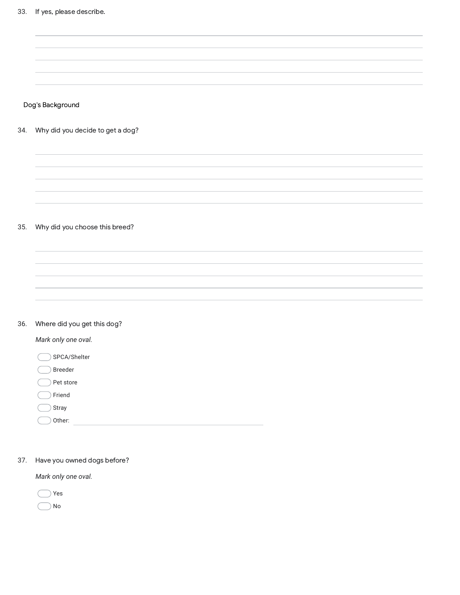Dog's Background

34. Why did you decide to get a dog?

# 35. Why did you choose this breed?

# 36. Where did you get this dog?

*Mark only one oval.*

SPCA/Shelter

Breeder

Pet store

Friend

Stray

Other:

37. Have you owned dogs before?

*Mark only one oval.*

Yes

 $\bigcirc$  No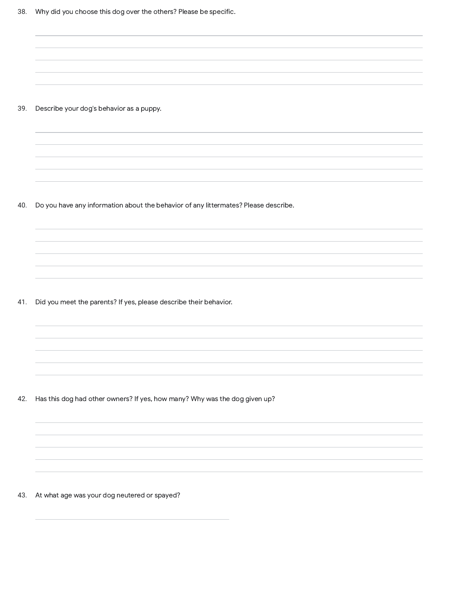39. Describe your dog's behavior as a puppy.

40. Do you have any information about the behavior of any littermates? Please describe.

41. Did you meet the parents? If yes, please describe their behavior.

42. Has this dog had other owners? If yes, how many? Why was the dog given up?

43. At what age was your dog neutered or spayed?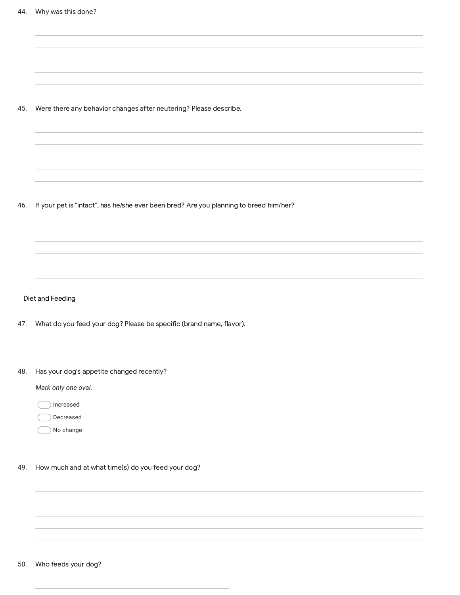45. Were there any behavior changes after neutering? Please describe.

46. If your pet is "intact", has he/she ever been bred? Are you planning to breed him/her?

Diet and Feeding

47. What do you feed your dog? Please be specific (brand name, flavor).

48. Has your dog's appetite changed recently?

*Mark only one oval.*

Increased

Decreased

- No change
- 49. How much and at what time(s) do you feed your dog?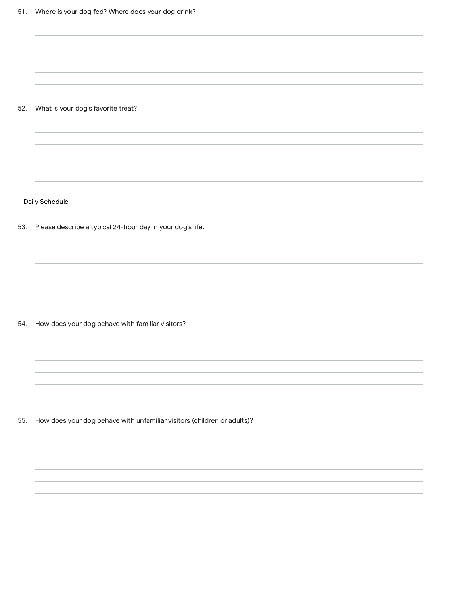# 52. What is your dog's favorite treat?

Daily Schedule

53. Please describe a typical 24-hour day in your dog's life.

54. How does your dog behave with familiar visitors?

55. How does your dog behave with unfamiliar visitors (children or adults)?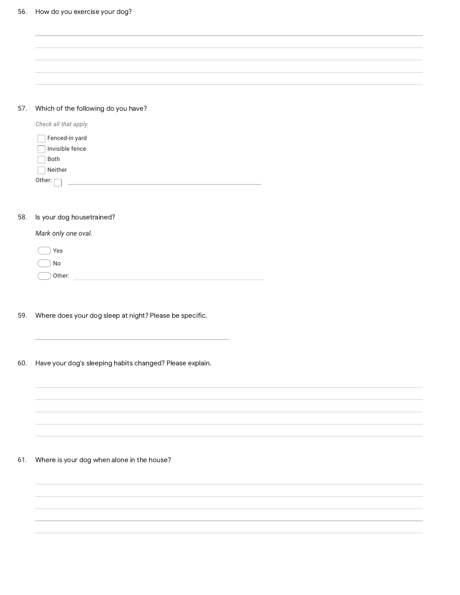| 57. | Which of the following do you have? |
|-----|-------------------------------------|

| Check all that apply. |
|-----------------------|
| Fenced-in yard        |
| Invisible fence       |
| <b>Both</b>           |
| Neither               |
| Other:                |

# 58. Is your dog housetrained?

*Mark only one oval.*

| Yes               |  |
|-------------------|--|
| ) No              |  |
| $\bigcirc$ Other: |  |

- 59. Where does your dog sleep at night? Please be specific.
- 60. Have your dog's sleeping habits changed? Please explain.

# 61. Where is your dog when alone in the house?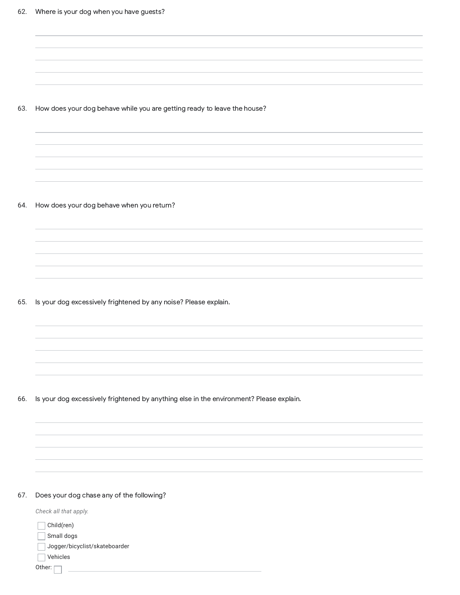63. How does your dog behave while you are getting ready to leave the house?

64. How does your dog behave when you return?

65. Is your dog excessively frightened by any noise? Please explain.

66. Is your dog excessively frightened by anything else in the environment? Please explain.

# 67. Does your dog chase any of the following?

| Check all that apply.         |  |
|-------------------------------|--|
| Child(ren)                    |  |
| Small dogs                    |  |
| Jogger/bicyclist/skateboarder |  |
| Vehicles                      |  |
| Other:                        |  |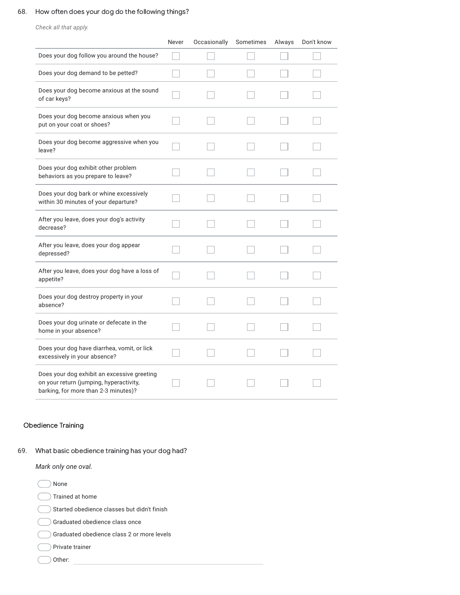# 68. How often does your dog do the following things?

*Check all that apply.*

|                                                                                                                                | Never | Occasionally | Sometimes | Always | Don't know |
|--------------------------------------------------------------------------------------------------------------------------------|-------|--------------|-----------|--------|------------|
| Does your dog follow you around the house?                                                                                     |       |              |           |        |            |
| Does your dog demand to be petted?                                                                                             |       |              |           |        |            |
| Does your dog become anxious at the sound<br>of car keys?                                                                      |       |              |           |        |            |
| Does your dog become anxious when you<br>put on your coat or shoes?                                                            |       |              |           |        |            |
| Does your dog become aggressive when you<br>leave?                                                                             |       |              |           |        |            |
| Does your dog exhibit other problem<br>behaviors as you prepare to leave?                                                      |       |              |           |        |            |
| Does your dog bark or whine excessively<br>within 30 minutes of your departure?                                                |       |              |           |        |            |
| After you leave, does your dog's activity<br>decrease?                                                                         |       |              |           |        |            |
| After you leave, does your dog appear<br>depressed?                                                                            |       |              |           |        |            |
| After you leave, does your dog have a loss of<br>appetite?                                                                     |       |              |           |        |            |
| Does your dog destroy property in your<br>absence?                                                                             |       |              |           |        |            |
| Does your dog urinate or defecate in the<br>home in your absence?                                                              |       |              |           |        |            |
| Does your dog have diarrhea, vomit, or lick<br>excessively in your absence?                                                    |       |              |           |        |            |
| Does your dog exhibit an excessive greeting<br>on your return (jumping, hyperactivity,<br>barking, for more than 2-3 minutes)? |       |              |           |        |            |

# Obedience Training

69. What basic obedience training has your dog had?

*Mark only one oval.*

Other: None Trained at home  $)$  Started obedience classes but didn't finish Graduated obedience class once Graduated obedience class 2 or more levels Private trainer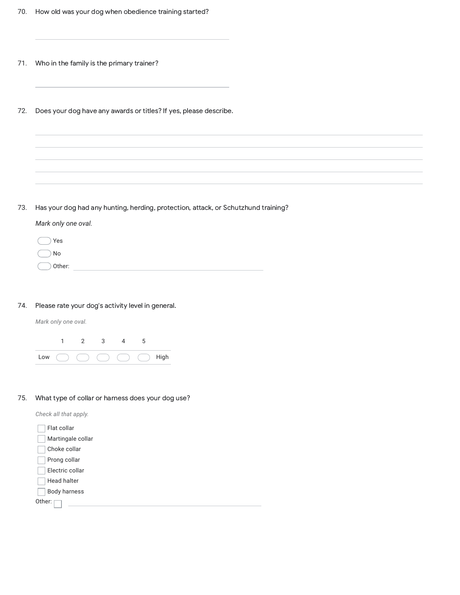- 71. Who in the family is the primary trainer?
- 72. Does your dog have any awards or titles? If yes, please describe.

73. Has your dog had any hunting, herding, protection, attack, or Schutzhund training?

*Mark only one oval.*

| $()$ Yes   |  |  |
|------------|--|--|
| $($ $)$ No |  |  |
| ◯ Other:   |  |  |

74. Please rate your dog's activity level in general.

*Mark only one oval.*



75. What type of collar or harness does your dog use?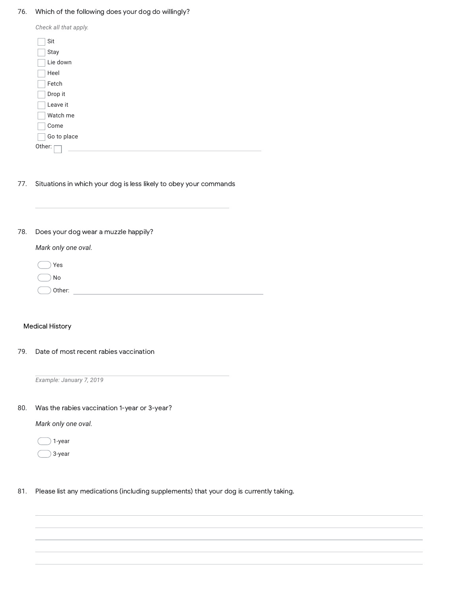76. Which of the following does your dog do willingly?

| Check all that apply. |
|-----------------------|
| Sit                   |
| Stay                  |
| Lie down              |
| Heel                  |
| Fetch                 |
| Drop it               |
| Leave it              |
| Watch me              |
| Come                  |
| Go to place           |
| Other:                |

77. Situations in which your dog is less likely to obey your commands

78. Does your dog wear a muzzle happily?

*Mark only one oval.*

Other: Yes No

# Medical History

79. Date of most recent rabies vaccination

*Example: January 7, 2019*

80. Was the rabies vaccination 1-year or 3-year?

*Mark only one oval.*

 $\big)$  1-year

- 3-year
- 81. Please list any medications (including supplements) that your dog is currently taking.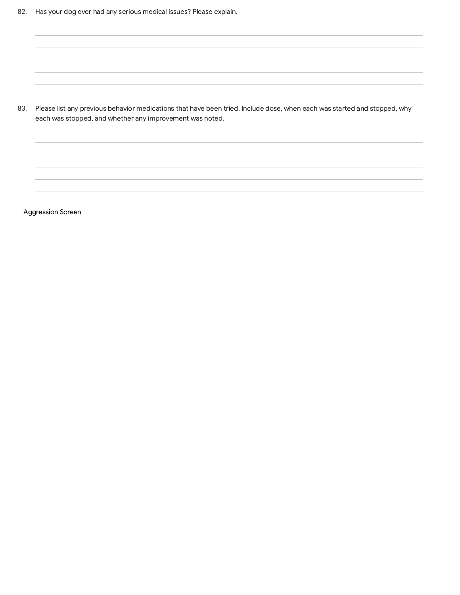83. Please list any previous behavior medications that have been tried. Include dose, when each was started and stopped, why each was stopped, and whether any improvement was noted.

Aggression Screen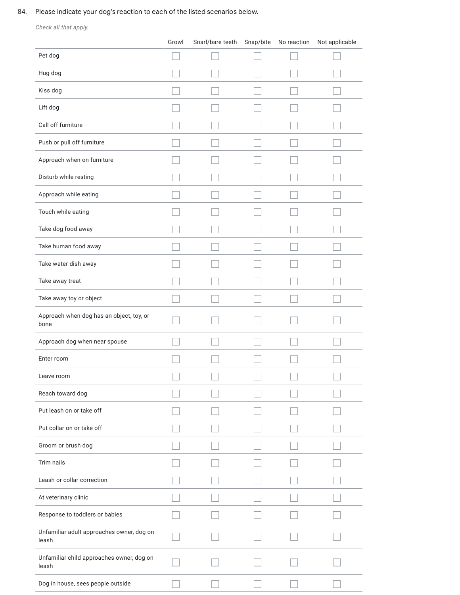# 84. Please indicate your dog's reaction to each of the listed scenarios below.

*Check all that apply.*

|                                                    | Growl | Snarl/bare teeth | Snap/bite | No reaction | Not applicable |
|----------------------------------------------------|-------|------------------|-----------|-------------|----------------|
| Pet dog                                            |       |                  |           |             |                |
| Hug dog                                            |       |                  |           |             |                |
| Kiss dog                                           |       |                  |           |             |                |
| Lift dog                                           |       |                  |           |             |                |
| Call off furniture                                 |       |                  |           |             |                |
| Push or pull off furniture                         |       |                  |           |             |                |
| Approach when on furniture                         |       |                  |           |             |                |
| Disturb while resting                              |       |                  |           |             |                |
| Approach while eating                              |       |                  |           |             |                |
| Touch while eating                                 |       |                  |           |             |                |
| Take dog food away                                 |       |                  |           |             |                |
| Take human food away                               |       |                  |           |             |                |
| Take water dish away                               |       |                  |           |             |                |
| Take away treat                                    |       |                  |           |             |                |
| Take away toy or object                            |       |                  |           |             |                |
| Approach when dog has an object, toy, or<br>bone   |       |                  |           |             |                |
| Approach dog when near spouse                      |       |                  |           |             |                |
| Enter room                                         |       |                  |           |             |                |
| Leave room                                         |       |                  |           |             |                |
| Reach toward dog                                   |       |                  |           |             |                |
| Put leash on or take off                           |       |                  |           |             |                |
| Put collar on or take off                          |       |                  |           |             |                |
| Groom or brush dog                                 |       |                  |           |             |                |
| Trim nails                                         |       |                  |           |             |                |
| Leash or collar correction                         |       |                  |           |             |                |
| At veterinary clinic                               |       |                  |           |             |                |
| Response to toddlers or babies                     |       |                  |           |             |                |
| Unfamiliar adult approaches owner, dog on<br>leash |       |                  |           |             |                |
| Unfamiliar child approaches owner, dog on<br>leash |       |                  |           |             |                |
| Dog in house, sees people outside                  |       |                  |           |             |                |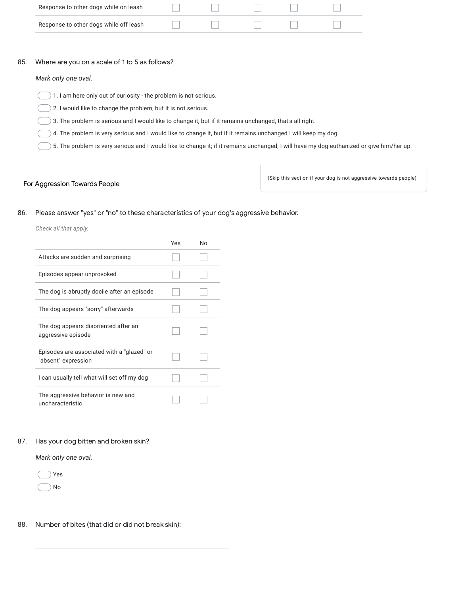| Response to other dogs while on leash  |  |  |  |
|----------------------------------------|--|--|--|
| Response to other dogs while off leash |  |  |  |

#### 85. Where are you on a scale of 1 to 5 as follows?

*Mark only one oval.*

 $($  1. I am here only out of curiosity - the problem is not serious.

2. I would like to change the problem, but it is not serious.

3. The problem is serious and I would like to change it, but if it remains unchanged, that's all right.

4. The problem is very serious and I would like to change it, but if it remains unchanged I will keep my dog.

5. The problem is very serious and I would like to change it; if it remains unchanged, I will have my dog euthanized or give him/her up.

# For Aggression Towards People

(Skip this section if your dog is not aggressive towards people)

### 86. Please answer "yes" or "no" to these characteristics of your dog's aggressive behavior.

*Check all that apply.*

|                                                                   | Yes | N٥ |
|-------------------------------------------------------------------|-----|----|
| Attacks are sudden and surprising                                 |     |    |
| Episodes appear unprovoked                                        |     |    |
| The dog is abruptly docile after an episode                       |     |    |
| The dog appears "sorry" afterwards                                |     |    |
| The dog appears disoriented after an<br>aggressive episode        |     |    |
| Episodes are associated with a "glazed" or<br>"absent" expression |     |    |
| I can usually tell what will set off my dog                       |     |    |
| The aggressive behavior is new and<br>uncharacteristic            |     |    |

### 87. Has your dog bitten and broken skin?

*Mark only one oval.*



### 88. Number of bites (that did or did not break skin):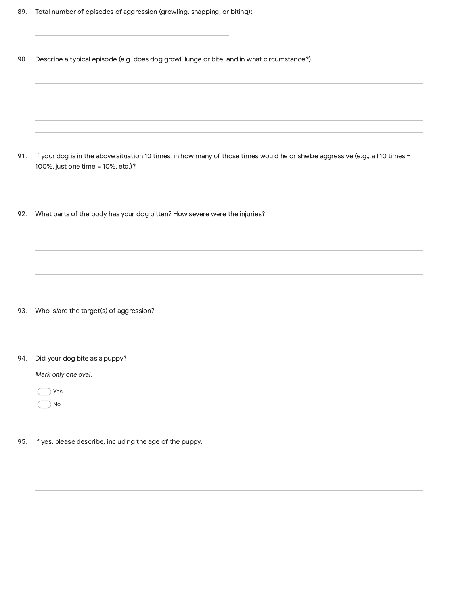| 89. |  | Total number of episodes of aggression (growling, snapping, or biting): |  |  |
|-----|--|-------------------------------------------------------------------------|--|--|
|     |  |                                                                         |  |  |

90. Describe a typical episode (e.g. does dog growl, lunge or bite, and in what circumstance?).

91. If your dog is in the above situation 10 times, in how many of those times would he or she be aggressive (e.g., all 10 times = 92. 93. 94. *Mark only one oval.* Yes No 95. 100%, just one time = 10%, etc.)? What parts of the body has your dog bitten? How severe were the injuries? Who is/are the target(s) of aggression? Did your dog bite as a puppy? If yes, please describe, including the age of the puppy.